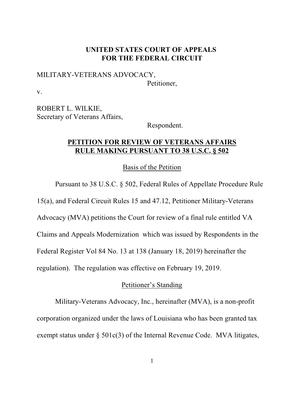### **UNITED STATES COURT OF APPEALS FOR THE FEDERAL CIRCUIT**

# MILITARY-VETERANS ADVOCACY, Petitioner,

v.

ROBERT L. WILKIE, Secretary of Veterans Affairs,

Respondent.

### **PETITION FOR REVIEW OF VETERANS AFFAIRS RULE MAKING PURSUANT TO 38 U.S.C. § 502**

Basis of the Petition

Pursuant to 38 U.S.C. § 502, Federal Rules of Appellate Procedure Rule 15(a), and Federal Circuit Rules 15 and 47.12, Petitioner Military-Veterans Advocacy (MVA) petitions the Court for review of a final rule entitled VA Claims and Appeals Modernization which was issued by Respondents in the Federal Register Vol 84 No. 13 at 138 (January 18, 2019) hereinafter the regulation). The regulation was effective on February 19, 2019.

## Petitioner's Standing

Military-Veterans Advocacy, Inc., hereinafter (MVA), is a non-profit corporation organized under the laws of Louisiana who has been granted tax exempt status under  $\S$  501 $c(3)$  of the Internal Revenue Code. MVA litigates,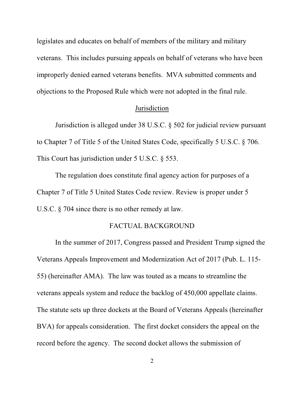legislates and educates on behalf of members of the military and military veterans. This includes pursuing appeals on behalf of veterans who have been improperly denied earned veterans benefits. MVA submitted comments and objections to the Proposed Rule which were not adopted in the final rule.

#### **Jurisdiction**

Jurisdiction is alleged under 38 U.S.C. § 502 for judicial review pursuant to Chapter 7 of Title 5 of the United States Code, specifically 5 U.S.C. § 706. This Court has jurisdiction under 5 U.S.C. § 553.

The regulation does constitute final agency action for purposes of a Chapter 7 of Title 5 United States Code review. Review is proper under 5 U.S.C. § 704 since there is no other remedy at law.

#### FACTUAL BACKGROUND

In the summer of 2017, Congress passed and President Trump signed the Veterans Appeals Improvement and Modernization Act of 2017 (Pub. L. 115- 55) (hereinafter AMA). The law was touted as a means to streamline the veterans appeals system and reduce the backlog of 450,000 appellate claims. The statute sets up three dockets at the Board of Veterans Appeals (hereinafter BVA) for appeals consideration. The first docket considers the appeal on the record before the agency. The second docket allows the submission of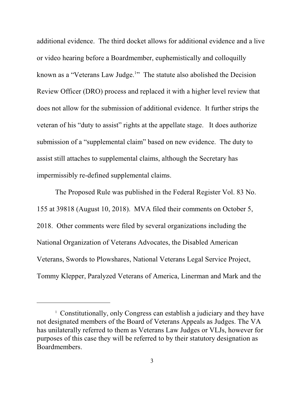additional evidence. The third docket allows for additional evidence and a live or video hearing before a Boardmember, euphemistically and colloquilly known as a "Veterans Law Judge.<sup>1</sup>" The statute also abolished the Decision Review Officer (DRO) process and replaced it with a higher level review that does not allow for the submission of additional evidence. It further strips the veteran of his "duty to assist" rights at the appellate stage. It does authorize submission of a "supplemental claim" based on new evidence. The duty to assist still attaches to supplemental claims, although the Secretary has impermissibly re-defined supplemental claims.

The Proposed Rule was published in the Federal Register Vol. 83 No. 155 at 39818 (August 10, 2018). MVA filed their comments on October 5, 2018. Other comments were filed by several organizations including the National Organization of Veterans Advocates, the Disabled American Veterans, Swords to Plowshares, National Veterans Legal Service Project, Tommy Klepper, Paralyzed Veterans of America, Linerman and Mark and the

<sup>&</sup>lt;sup>1</sup> Constitutionally, only Congress can establish a judiciary and they have not designated members of the Board of Veterans Appeals as Judges. The VA has unilaterally referred to them as Veterans Law Judges or VLJs, however for purposes of this case they will be referred to by their statutory designation as Boardmembers.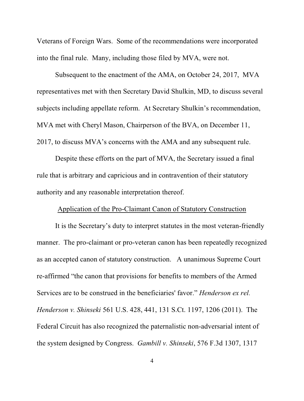Veterans of Foreign Wars. Some of the recommendations were incorporated into the final rule. Many, including those filed by MVA, were not.

Subsequent to the enactment of the AMA, on October 24, 2017, MVA representatives met with then Secretary David Shulkin, MD, to discuss several subjects including appellate reform. At Secretary Shulkin's recommendation, MVA met with Cheryl Mason, Chairperson of the BVA, on December 11, 2017, to discuss MVA's concerns with the AMA and any subsequent rule.

Despite these efforts on the part of MVA, the Secretary issued a final rule that is arbitrary and capricious and in contravention of their statutory authority and any reasonable interpretation thereof.

#### Application of the Pro-Claimant Canon of Statutory Construction

It is the Secretary's duty to interpret statutes in the most veteran-friendly manner. The pro-claimant or pro-veteran canon has been repeatedly recognized as an accepted canon of statutory construction. A unanimous Supreme Court re-affirmed "the canon that provisions for benefits to members of the Armed Services are to be construed in the beneficiaries' favor." *Henderson ex rel. Henderson v. Shinseki* 561 U.S. 428, 441, 131 S.Ct. 1197, 1206 (2011). The Federal Circuit has also recognized the paternalistic non-adversarial intent of the system designed by Congress. *Gambill v. Shinseki*, 576 F.3d 1307, 1317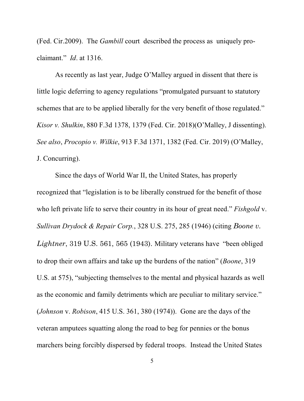(Fed. Cir.2009). The *Gambill* court described the process as uniquely proclaimant." *Id*. at 1316.

As recently as last year, Judge O'Malley argued in dissent that there is little logic deferring to agency regulations "promulgated pursuant to statutory schemes that are to be applied liberally for the very benefit of those regulated." *Kisor v. Shulkin*, 880 F.3d 1378, 1379 (Fed. Cir. 2018)(O'Malley, J dissenting). *See also*, *Procopio v. Wilkie*, 913 F.3d 1371, 1382 (Fed. Cir. 2019) (O'Malley, J. Concurring).

Since the days of World War II, the United States, has properly recognized that "legislation is to be liberally construed for the benefit of those who left private life to serve their country in its hour of great need." *Fishgold* v. *Sullivan Drydock & Repair Corp.*, 328 U.S. 275, 285 (1946) (citing *Boone v. Lightner*, 319 U.S. 561, 565 (1943). Military veterans have "been obliged to drop their own affairs and take up the burdens of the nation" (*Boone*, 319 U.S. at 575), "subjecting themselves to the mental and physical hazards as well as the economic and family detriments which are peculiar to military service." (*Johnson* v. *Robison*, 415 U.S. 361, 380 (1974)). Gone are the days of the veteran amputees squatting along the road to beg for pennies or the bonus marchers being forcibly dispersed by federal troops. Instead the United States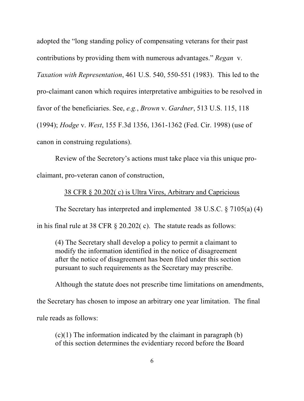adopted the "long standing policy of compensating veterans for their past contributions by providing them with numerous advantages." *Regan* v. *Taxation with Representation*, 461 U.S. 540, 550-551 (1983). This led to the pro-claimant canon which requires interpretative ambiguities to be resolved in favor of the beneficiaries. See, *e.g.*, *Brown* v. *Gardner*, 513 U.S. 115, 118 (1994); *Hodge* v. *West*, 155 F.3d 1356, 1361-1362 (Fed. Cir. 1998) (use of canon in construing regulations).

Review of the Secretory's actions must take place via this unique proclaimant, pro-veteran canon of construction,

## 38 CFR § 20.202( c) is Ultra Vires, Arbitrary and Capricious

The Secretary has interpreted and implemented 38 U.S.C. § 7105(a) (4) in his final rule at 38 CFR § 20.202( c). The statute reads as follows:

(4) The Secretary shall develop a policy to permit a claimant to modify the information identified in the notice of disagreement after the notice of disagreement has been filed under this section pursuant to such requirements as the Secretary may prescribe.

Although the statute does not prescribe time limitations on amendments,

the Secretary has chosen to impose an arbitrary one year limitation. The final

rule reads as follows:

 $(c)(1)$  The information indicated by the claimant in paragraph  $(b)$ of this section determines the evidentiary record before the Board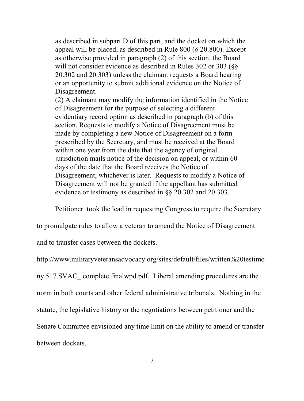as described in subpart D of this part, and the docket on which the appeal will be placed, as described in Rule 800 (§ 20.800). Except as otherwise provided in paragraph (2) of this section, the Board will not consider evidence as described in Rules 302 or 303 (§§ 20.302 and 20.303) unless the claimant requests a Board hearing or an opportunity to submit additional evidence on the Notice of Disagreement.

(2) A claimant may modify the information identified in the Notice of Disagreement for the purpose of selecting a different evidentiary record option as described in paragraph (b) of this section. Requests to modify a Notice of Disagreement must be made by completing a new Notice of Disagreement on a form prescribed by the Secretary, and must be received at the Board within one year from the date that the agency of original jurisdiction mails notice of the decision on appeal, or within 60 days of the date that the Board receives the Notice of Disagreement, whichever is later. Requests to modify a Notice of Disagreement will not be granted if the appellant has submitted evidence or testimony as described in §§ 20.302 and 20.303.

Petitioner took the lead in requesting Congress to require the Secretary

to promulgate rules to allow a veteran to amend the Notice of Disagreement

and to transfer cases between the dockets.

http://www.militaryveteransadvocacy.org/sites/default/files/written%20testimo ny.517.SVAC\_.complete.finalwpd.pdf. Liberal amending procedures are the norm in both courts and other federal administrative tribunals. Nothing in the statute, the legislative history or the negotiations between petitioner and the Senate Committee envisioned any time limit on the ability to amend or transfer between dockets.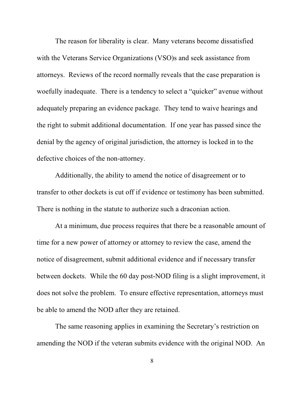The reason for liberality is clear. Many veterans become dissatisfied with the Veterans Service Organizations (VSO)s and seek assistance from attorneys. Reviews of the record normally reveals that the case preparation is woefully inadequate. There is a tendency to select a "quicker" avenue without adequately preparing an evidence package. They tend to waive hearings and the right to submit additional documentation. If one year has passed since the denial by the agency of original jurisdiction, the attorney is locked in to the defective choices of the non-attorney.

Additionally, the ability to amend the notice of disagreement or to transfer to other dockets is cut off if evidence or testimony has been submitted. There is nothing in the statute to authorize such a draconian action.

At a minimum, due process requires that there be a reasonable amount of time for a new power of attorney or attorney to review the case, amend the notice of disagreement, submit additional evidence and if necessary transfer between dockets. While the 60 day post-NOD filing is a slight improvement, it does not solve the problem. To ensure effective representation, attorneys must be able to amend the NOD after they are retained.

The same reasoning applies in examining the Secretary's restriction on amending the NOD if the veteran submits evidence with the original NOD. An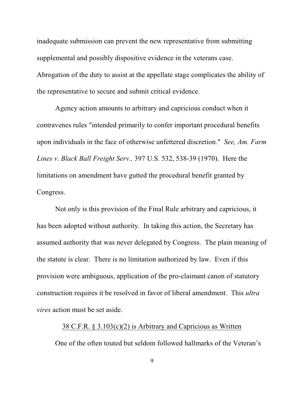inadequate submission can prevent the new representative from submitting supplemental and possibly dispositive evidence in the veterans case. Abrogation of the duty to assist at the appellate stage complicates the ability of the representative to secure and submit critical evidence.

Agency action amounts to arbitrary and capricious conduct when it contravenes rules "intended primarily to confer important procedural benefits upon individuals in the face of otherwise unfettered discretion." *See, Am. Farm Lines v*. *Black Ball Freight Serv.,* 397 U.S. 532, 538-39 (1970). Here the limitations on amendment have gutted the procedural benefit granted by Congress.

Not only is this provision of the Final Rule arbitrary and capricious, it has been adopted without authority. In taking this action, the Secretary has assumed authority that was never delegated by Congress. The plain meaning of the statute is clear. There is no limitation authorized by law. Even if this provision were ambiguous, application of the pro-claimant canon of statutory construction requires it be resolved in favor of liberal amendment. This *ultra vires* action must be set aside.

#### 38 C.F.R. § 3.103(c)(2) is Arbitrary and Capricious as Written

One of the often touted but seldom followed hallmarks of the Veteran's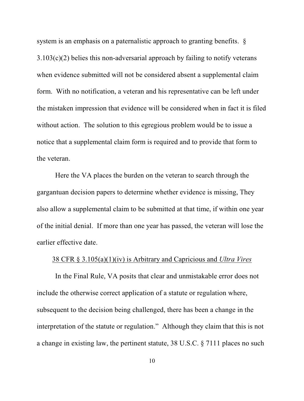system is an emphasis on a paternalistic approach to granting benefits.  $\S$ 3.103(c)(2) belies this non-adversarial approach by failing to notify veterans when evidence submitted will not be considered absent a supplemental claim form. With no notification, a veteran and his representative can be left under the mistaken impression that evidence will be considered when in fact it is filed without action. The solution to this egregious problem would be to issue a notice that a supplemental claim form is required and to provide that form to the veteran.

Here the VA places the burden on the veteran to search through the gargantuan decision papers to determine whether evidence is missing, They also allow a supplemental claim to be submitted at that time, if within one year of the initial denial. If more than one year has passed, the veteran will lose the earlier effective date.

#### 38 CFR § 3.105(a)(1)(iv) is Arbitrary and Capricious and *Ultra Vires*

In the Final Rule, VA posits that clear and unmistakable error does not include the otherwise correct application of a statute or regulation where, subsequent to the decision being challenged, there has been a change in the interpretation of the statute or regulation." Although they claim that this is not a change in existing law, the pertinent statute, 38 U.S.C. § 7111 places no such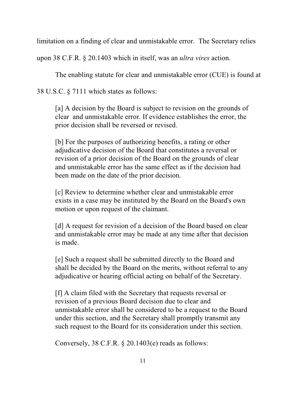limitation on a finding of clear and unmistakable error. The Secretary relies

upon 38 C.F.R. § 20.1403 which in itself, was an *ultra vires* action.

The enabling statute for clear and unmistakable error (CUE) is found at

38 U.S.C. § 7111 which states as follows:

[a] A decision by the Board is subject to revision on the grounds of clear and unmistakable error. If evidence establishes the error, the prior decision shall be reversed or revised.

[b] For the purposes of authorizing benefits, a rating or other adjudicative decision of the Board that constitutes a reversal or revision of a prior decision of the Board on the grounds of clear and unmistakable error has the same effect as if the decision had been made on the date of the prior decision.

[c] Review to determine whether clear and unmistakable error exists in a case may be instituted by the Board on the Board's own motion or upon request of the claimant.

[d] A request for revision of a decision of the Board based on clear and unmistakable error may be made at any time after that decision is made.

[e] Such a request shall be submitted directly to the Board and shall be decided by the Board on the merits, without referral to any adjudicative or hearing official acting on behalf of the Secretary.

[f] A claim filed with the Secretary that requests reversal or revision of a previous Board decision due to clear and unmistakable error shall be considered to be a request to the Board under this section, and the Secretary shall promptly transmit any such request to the Board for its consideration under this section.

Conversely, 38 C.F.R. § 20.1403(e) reads as follows: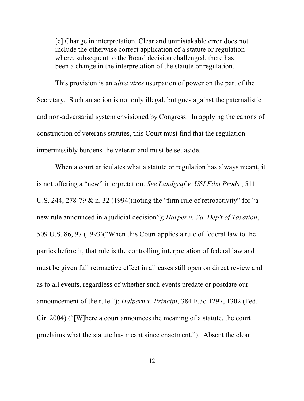[e] Change in interpretation. Clear and unmistakable error does not include the otherwise correct application of a statute or regulation where, subsequent to the Board decision challenged, there has been a change in the interpretation of the statute or regulation.

This provision is an *ultra vires* usurpation of power on the part of the Secretary. Such an action is not only illegal, but goes against the paternalistic and non-adversarial system envisioned by Congress. In applying the canons of construction of veterans statutes, this Court must find that the regulation impermissibly burdens the veteran and must be set aside.

When a court articulates what a statute or regulation has always meant, it is not offering a "new" interpretation. *See Landgraf v. USI Film Prods.*, 511 U.S. 244, 278-79 & n. 32 (1994)(noting the "firm rule of retroactivity" for "a new rule announced in a judicial decision"); *Harper v. Va. Dep't of Taxation*, 509 U.S. 86, 97 (1993)("When this Court applies a rule of federal law to the parties before it, that rule is the controlling interpretation of federal law and must be given full retroactive effect in all cases still open on direct review and as to all events, regardless of whether such events predate or postdate our announcement of the rule."); *Halpern v. Principi*, 384 F.3d 1297, 1302 (Fed. Cir. 2004) ("[W]here a court announces the meaning of a statute, the court proclaims what the statute has meant since enactment."). Absent the clear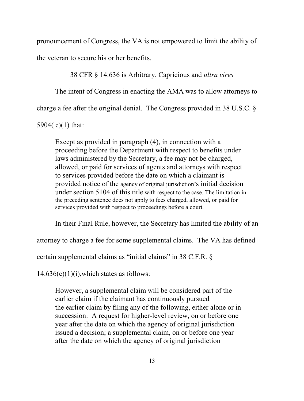pronouncement of Congress, the VA is not empowered to limit the ability of the veteran to secure his or her benefits.

### 38 CFR § 14.636 is Arbitrary, Capricious and *ultra vires*

The intent of Congress in enacting the AMA was to allow attorneys to

charge a fee after the original denial. The Congress provided in 38 U.S.C. §

5904( c)(1) that:

Except as provided in paragraph (4), in connection with a proceeding before the Department with respect to benefits under laws administered by the Secretary, a fee may not be charged, allowed, or paid for services of agents and attorneys with respect to services provided before the date on which a claimant is provided notice of the agency of original jurisdiction's initial decision under section 5104 of this title with respect to the case. The limitation in the preceding sentence does not apply to fees charged, allowed, or paid for services provided with respect to proceedings before a court.

In their Final Rule, however, the Secretary has limited the ability of an

attorney to charge a fee for some supplemental claims. The VA has defined

certain supplemental claims as "initial claims" in 38 C.F.R. §

 $14.636(c)(1)(i)$ , which states as follows:

However, a supplemental claim will be considered part of the earlier claim if the claimant has continuously pursued the earlier claim by filing any of the following, either alone or in succession: A request for higher-level review, on or before one year after the date on which the agency of original jurisdiction issued a decision; a supplemental claim, on or before one year after the date on which the agency of original jurisdiction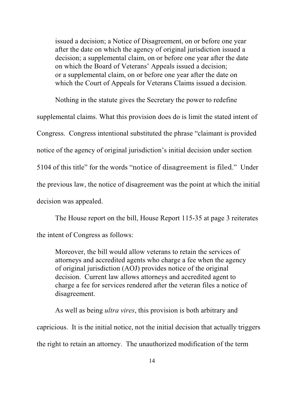issued a decision; a Notice of Disagreement, on or before one year after the date on which the agency of original jurisdiction issued a decision; a supplemental claim, on or before one year after the date on which the Board of Veterans' Appeals issued a decision; or a supplemental claim, on or before one year after the date on which the Court of Appeals for Veterans Claims issued a decision.

Nothing in the statute gives the Secretary the power to redefine supplemental claims. What this provision does do is limit the stated intent of Congress. Congress intentional substituted the phrase "claimant is provided notice of the agency of original jurisdiction's initial decision under section 5104 of this title" for the words "notice of disagreement is filed." Under the previous law, the notice of disagreement was the point at which the initial decision was appealed.

The House report on the bill, House Report 115-35 at page 3 reiterates the intent of Congress as follows:

Moreover, the bill would allow veterans to retain the services of attorneys and accredited agents who charge a fee when the agency of original jurisdiction (AOJ) provides notice of the original decision. Current law allows attorneys and accredited agent to charge a fee for services rendered after the veteran files a notice of disagreement.

As well as being *ultra vires*, this provision is both arbitrary and capricious. It is the initial notice, not the initial decision that actually triggers the right to retain an attorney. The unauthorized modification of the term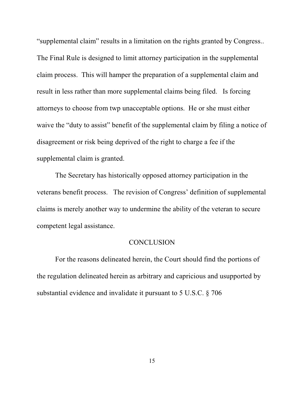"supplemental claim" results in a limitation on the rights granted by Congress.. The Final Rule is designed to limit attorney participation in the supplemental claim process. This will hamper the preparation of a supplemental claim and result in less rather than more supplemental claims being filed. Is forcing attorneys to choose from twp unacceptable options. He or she must either waive the "duty to assist" benefit of the supplemental claim by filing a notice of disagreement or risk being deprived of the right to charge a fee if the supplemental claim is granted.

The Secretary has historically opposed attorney participation in the veterans benefit process. The revision of Congress' definition of supplemental claims is merely another way to undermine the ability of the veteran to secure competent legal assistance.

#### **CONCLUSION**

For the reasons delineated herein, the Court should find the portions of the regulation delineated herein as arbitrary and capricious and usupported by substantial evidence and invalidate it pursuant to 5 U.S.C. § 706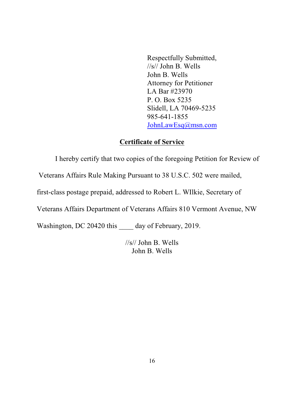Respectfully Submitted, //s// John B. Wells John B. Wells Attorney for Petitioner LA Bar #23970 P. O. Box 5235 Slidell, LA 70469-5235 985-641-1855 JohnLawEsq@msn.com

### **Certificate of Service**

I hereby certify that two copies of the foregoing Petition for Review of

Veterans Affairs Rule Making Pursuant to 38 U.S.C. 502 were mailed,

first-class postage prepaid, addressed to Robert L. WIlkie, Secretary of

Veterans Affairs Department of Veterans Affairs 810 Vermont Avenue, NW

Washington, DC 20420 this \_\_\_\_\_ day of February, 2019.

//s// John B. Wells John B. Wells